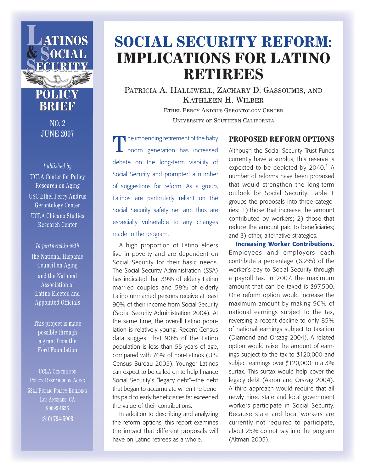

### **POLICY BRIEF**

NO. 2 JUNE 2007

*Published by* UCLA Center for Policy Research on Aging USC Ethel Percy Andrus Gerontology Center UCLA Chicano Studies Research Center

*In partnership with* the National Hispanic Council on Aging and the National Association of Latino Elected and Appointed Officials

This project is made possible through a grant from the Ford Foundation

UCLA CENTER FOR POLICY RESEARCH ON AGING 5341 PUBLIC POLICY BUILDING LOS ANGELES, CA 90095-1656 (310) 794-5908

## **SOCIAL SECURITY REFORM: IMPLICATIONS FOR LATINO RETIREES**

PATRICIA A. HALLIWELL, ZACHARY D. GASSOUMIS, AND KATHLEEN H. WILBER

> ETHEL PERCY ANDRUS GERONTOLOGY CENTER UNIVERSITY OF SOUTHERN CALIFORNIA

The impending retirement of the baby boom generation has increased debate on the long-term viability of Social Security and prompted a number of suggestions for reform. As a group, Latinos are particularly reliant on the Social Security safety net and thus are especially vulnerable to any changes made to the program.

A high proportion of Latino elders live in poverty and are dependent on Social Security for their basic needs. The Social Security Administration (SSA) has indicated that 39% of elderly Latino married couples and 58% of elderly Latino unmarried persons receive at least 90% of their income from Social Security (Social Security Administration 2004). At the same time, the overall Latino population is relatively young. Recent Census data suggest that 90% of the Latino population is less than 55 years of age, compared with 76% of non-Latinos (U.S. Census Bureau 2005). Younger Latinos can expect to be called on to help finance Social Security's "legacy debt"—the debt that began to accumulate when the benefits paid to early beneficiaries far exceeded the value of their contributions.

In addition to describing and analyzing the reform options, this report examines the impact that different proposals will have on Latino retirees as a whole.

#### **PROPOSED REFORM OPTIONS**

Although the Social Security Trust Funds currently have a surplus, this reserve is expected to be depleted by 2040.<sup>1</sup> A number of reforms have been proposed that would strengthen the long-term outlook for Social Security. Table 1 groups the proposals into three categories: 1) those that increase the amount contributed by workers; 2) those that reduce the amount paid to beneficiaries; and 3) other, alternative strategies.

Increasing Worker Contributions. Employees and employers each contribute a percentage (6.2%) of the worker's pay to Social Security through a payroll tax. In 2007, the maximum amount that can be taxed is \$97,500. One reform option would increase the maximum amount by making 90% of national earnings subject to the tax, reversing a recent decline to only 85% of national earnings subject to taxation (Diamond and Orszag 2004). A related option would raise the amount of earnings subject to the tax to \$120,000 and subject earnings over \$120,000 to a 3% surtax. This surtax would help cover the legacy debt (Aaron and Orszag 2004). A third approach would require that all newly hired state and local government workers participate in Social Security. Because state and local workers are currently not required to participate, about 25% do not pay into the program (Altman 2005).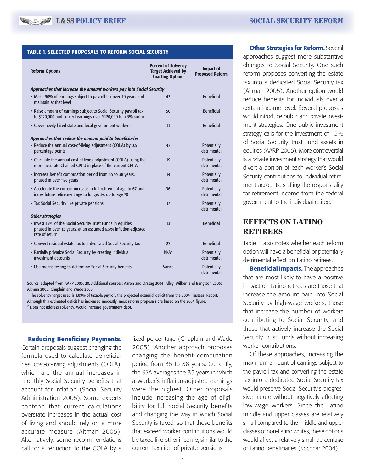#### TABLE 1. SELECTED PROPOSALS TO REFORM SOCIAL SECURITY

| <b>Reform Options</b>                                                                                                                            | <b>Percent of Solvency</b><br><b>Target Achieved by</b><br><b>Enacting Option</b> <sup>1</sup> | <b>Impact of</b><br><b>Proposed Reform</b> |
|--------------------------------------------------------------------------------------------------------------------------------------------------|------------------------------------------------------------------------------------------------|--------------------------------------------|
| Approaches that increase the amount workers pay into Social Security                                                                             |                                                                                                |                                            |
| • Make 90% of earnings subject to payroll tax over 10 years and<br>maintain at that level                                                        | 43                                                                                             | <b>Beneficial</b>                          |
| • Raise amount of earnings subject to Social Security payroll tax<br>to \$120,000 and subject earnings over \$120,000 to a 3% surtax             | 50                                                                                             | <b>Beneficial</b>                          |
| • Cover newly hired state and local government workers                                                                                           | 11                                                                                             | <b>Beneficial</b>                          |
| Approaches that reduce the amount paid to beneficiaries                                                                                          |                                                                                                |                                            |
| • Reduce the annual cost-of-living adjustment (COLA) by 0.5<br>percentage points                                                                 | 42                                                                                             | Potentially<br>detrimental                 |
| • Calculate the annual cost-of-living adjustment (COLA) using the<br>more accurate Chained CPI-U in place of the current CPI-W                   | 19                                                                                             | Potentially<br>detrimental                 |
| • Increase benefit computation period from 35 to 38 years,<br>phased in over five years                                                          | 14                                                                                             | <b>Potentially</b><br>detrimental          |
| • Accelerate the current increase in full retirement age to 67 and<br>index future retirement age to longevity, up to age 70                     | 36                                                                                             | <b>Potentially</b><br>detrimental          |
| • Tax Social Security like private pensions                                                                                                      | 17                                                                                             | Potentially<br>detrimental                 |
| <b>Other strategies</b>                                                                                                                          |                                                                                                |                                            |
| • Invest 15% of the Social Security Trust Funds in equities,<br>phased in over 15 years, at an assumed 6.5% inflation-adjusted<br>rate of return | 13                                                                                             | <b>Beneficial</b>                          |
| • Convert residual estate tax to a dedicated Social Security tax                                                                                 | 27                                                                                             | <b>Beneficial</b>                          |
| • Partially privatize Social Security by creating individual<br>investment accounts                                                              | N/A <sup>2</sup>                                                                               | <b>Potentially</b><br>detrimental          |
| • Use means testing to determine Social Security benefits                                                                                        | <b>Varies</b>                                                                                  | Potentially<br>detrimental                 |

Source: adapted from AARP 2005, 20. Additional sources: Aaron and Orszag 2004; Alley, Wilber, and Bengtson 2005; Altman 2005; Chaplain and Wade 2005.

<sup>1</sup> The solvency target used is 1.89% of taxable payroll, the projected actuarial deficit from the 2004 Trustees' Report. Although this estimated deficit has increased modestly, most reform proposals are based on the 2004 figure.

2 Does not address solvency, would increase government debt.

#### **Reducing Beneficiary Payments.**

Certain proposals suggest changing the formula used to calculate beneficiaries' cost-of-living adjustments (COLA), which are the annual increases in monthly Social Security benefits that account for inflation (Social Security Administration 2005). Some experts contend that current calculations overstate increases in the actual cost of living and should rely on a more accurate measure (Altman 2005). Alternatively, some recommendations call for a reduction to the COLA by a

fixed percentage (Chaplain and Wade 2005). Another approach proposes changing the benefit computation period from 35 to 38 years. Currently, the SSA averages the 35 years in which a worker's inflation-adjusted earnings were the highest. Other proposals include increasing the age of eligibility for full Social Security benefits and changing the way in which Social Security is taxed, so that those benefits that exceed worker contributions would be taxed like other income, similar to the current taxation of private pensions.

#### **Other Strategies for Reform.** Several

approaches suggest more substantive changes to Social Security. One such reform proposes converting the estate tax into a dedicated Social Security tax (Altman 2005). Another option would reduce benefits for individuals over a certain income level. Several proposals would introduce public and private investment strategies. One public investment strategy calls for the investment of 15% of Social Security Trust Fund assets in equities (AARP 2005). More controversial is a private investment strategy that would divert a portion of each worker's Social Security contributions to individual retirement accounts, shifting the responsibility for retirement income from the federal government to the individual retiree.

### **EFFECTS ON LATINO RETIREES**

Table 1 also notes whether each reform option will have a beneficial or potentially detrimental effect on Latino retirees.

**Beneficial Impacts.** The approaches that are most likely to have a positive impact on Latino retirees are those that increase the amount paid into Social Security by high-wage workers, those that increase the number of workers contributing to Social Security, and those that actively increase the Social Security Trust Funds without increasing worker contributions.

Of these approaches, increasing the maximum amount of earnings subject to the payroll tax and converting the estate tax into a dedicated Social Security tax would preserve Social Security's progressive nature without negatively affecting low-wage workers. Since the Latino middle and upper classes are relatively small compared to the middle and upper classes of non-Latino whites, these options would affect a relatively small percentage of Latino beneficiaries (Kochhar 2004).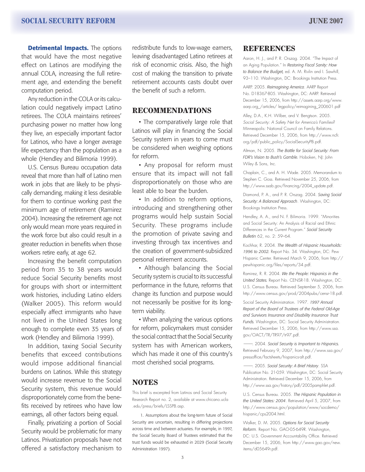**Detrimental Impacts.** The options that would have the most negative effect on Latinos are modifying the annual COLA, increasing the full retirement age, and extending the benefit computation period.

Any reduction in the COLA or its calculation could negatively impact Latino retirees. The COLA maintains retirees' purchasing power no matter how long they live, an especially important factor for Latinos, who have a longer average life expectancy than the population as a whole (Hendley and Bilimoria 1999).

U.S. Census Bureau occupation data reveal that more than half of Latino men work in jobs that are likely to be physically demanding, making it less desirable for them to continue working past the minimum age of retirement (Ramirez 2004). Increasing the retirement age not only would mean more years required in the work force but also could result in a greater reduction in benefits when those workers retire early, at age 62.

Increasing the benefit computation period from 35 to 38 years would reduce Social Security benefits most for groups with short or intermittent work histories, including Latino elders (Walker 2005). This reform would especially affect immigrants who have not lived in the United States long enough to complete even 35 years of work (Hendley and Bilimoria 1999).

In addition, taxing Social Security benefits that exceed contributions would impose additional financial burdens on Latinos. While this strategy would increase revenue to the Social Security system, this revenue would disproportionately come from the benefits received by retirees who have low earnings, all other factors being equal.

Finally, privatizing a portion of Social Security would be problematic for many Latinos. Privatization proposals have not offered a satisfactory mechanism to

redistribute funds to low-wage earners, leaving disadvantaged Latino retirees at risk of economic crisis. Also, the high cost of making the transition to private retirement accounts casts doubt over the benefit of such a reform.

#### **RECOMMENDATIONS**

• The comparatively large role that Latinos will play in financing the Social Security system in years to come must be considered when weighing options for reform.

• Any proposal for reform must ensure that its impact will not fall disproportionately on those who are least able to bear the burden.

• In addition to reform options, introducing and strengthening other programs would help sustain Social Security. These programs include the promotion of private saving and investing through tax incentives and the creation of government-subsidized personal retirement accounts.

• Although balancing the Social Security system is crucial to its successful performance in the future, reforms that change its function and purpose would not necessarily be positive for its longterm viability.

• When analyzing the various options for reform, policymakers must consider the social contract that the Social Security system has with American workers, which has made it one of this country's most cherished social programs.

#### **NOTES**

This brief is excerpted from Latinos and Social Security Research Report no. 2, available at www.chicano.ucla .edu/press/briefs/LSSPB.asp.

 1. Assumptions about the long-term future of Social Security are uncertain, resulting in differing projections across time and between actuaries. For example, in 1997, the Social Security Board of Trustees estimated that the trust funds would be exhausted in 2029 (Social Security Administration 1997).

#### **REFERENCES**

Aaron, H. J., and P. R. Orszag. 2004. "The Impact of an Aging Population." In *Restoring Fiscal Sanity: How to Balance the Budget,* ed. A. M. Rivlin and I. Sawhill, 93–110. Washington, DC: Brookings Institution Press.

AARP. 2005. *Reimagining America*. AARP Report No. D18367-805. Washington, DC: AARP. Retrieved December 15, 2006, from http://assets.aarp.org/www. aarp.org\_/articles/ legpolicy/reimagining\_200601.pdf

Alley, D.A., K.H. Wilber, and V. Bengtson. 2005. *Social Security: A Safety Net for America's Families?*  Minneapolis: National Council on Family Relations. Retrieved December 15, 2006, from http://www.ncfr. org/pdf/public\_policy/SocialSecurityPB.pdf.

Altman, N. 2005. *The Battle for Social Security: From FDR's Vision to Bush's Gamble.* Hoboken, NJ: John Wiley & Sons, Inc.

Chaplain, C., and A. H. Wade. 2005. Memorandum to Stephen C. Goss. Retrieved November 25, 2006, from http://www.ssab.gov/financing/2004\_update.pdf.

Diamond, P. A., and P. R. Orszag. 2004. *Saving Social Security: A Balanced Approach*. Washington, DC: Brookings Institution Press.

Hendley, A. A., and N. F. Bilimoria. 1999. "Minorities and Social Security: An Analysis of Racial and Ethnic Differences in the Current Program." *Social Security Bulletin* 62, no. 2: 59–64.

Kochhar, R. 2004. *The Wealth of Hispanic Households: 1996 to 2002.* Report No. 34. Washington, DC: Pew Hispanic Center. Retrieved March 9, 2006, from http:// pewhispanic.org/files/reports/34.pdf.

Ramirez, R. R. 2004. *We the People: Hispanics in the United States.* Report No. CENSR-18. Washington, DC: U.S. Census Bureau. Retrieved September 5, 2006, from http://www.census.gov/prod/2004pubs/censr-18.pdf.

Social Security Administration. 1997. *1997 Annual Report of the Board of Trustees of the Federal Old-Age and Survivors Insurance and Disability Insurance Trust Funds.* Washington, DC: Social Security Administration. Retrieved December 15, 2006, from http://www.ssa. gov/OACT/TR/TR97/tr97.pdf.

———. 2004. *Social Security is Important to Hispanics.* Retrieved February 9, 2007, from http://www.ssa.gov/ pressoffice/factsheets/hispanics-alt.pdf.

———. 2005. *Social Security: A Brief History*. SSA Publication No. 21-059. Washington, DC: Social Security Administration. Retrieved December 15, 2006, from http://www.ssa.gov/history/pdf/2005pamphlet.pdf.

U.S. Census Bureau. 2005. *The Hispanic Population in the United States: 2004*. Retrieved April 5, 2007, from http://www.census.gov/population/www/socdemo/ hispanic/cps2004.html.

Walker, D. M. 2005. *Options for Social Security Reform*. Report No. GAO-05-649R. Washington, DC: U.S. Government Accountability Office. Retrieved December 15, 2006, from http://www.gao.gov/new. items/d05649r.pdf.